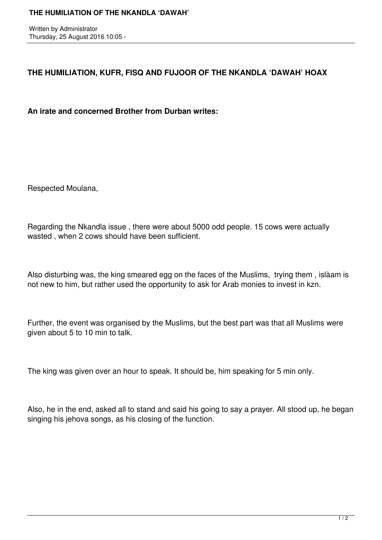Written by Administrator Thursday, 25 August 2016 10:05 -

## **THE HUMILIATION, KUFR, FISQ AND FUJOOR OF THE NKANDLA 'DAWAH' HOAX**

**An irate and concerned Brother from Durban writes:**

Respected Moulana,

Regarding the Nkandla issue , there were about 5000 odd people. 15 cows were actually wasted , when 2 cows should have been sufficient.

Also disturbing was, the king smeared egg on the faces of the Muslims, trying them , islàam is not new to him, but rather used the opportunity to ask for Arab monies to invest in kzn.

Further, the event was organised by the Muslims, but the best part was that all Muslims were given about 5 to 10 min to talk.

The king was given over an hour to speak. It should be, him speaking for 5 min only.

Also, he in the end, asked all to stand and said his going to say a prayer. All stood up, he began singing his jehova songs, as his closing of the function.